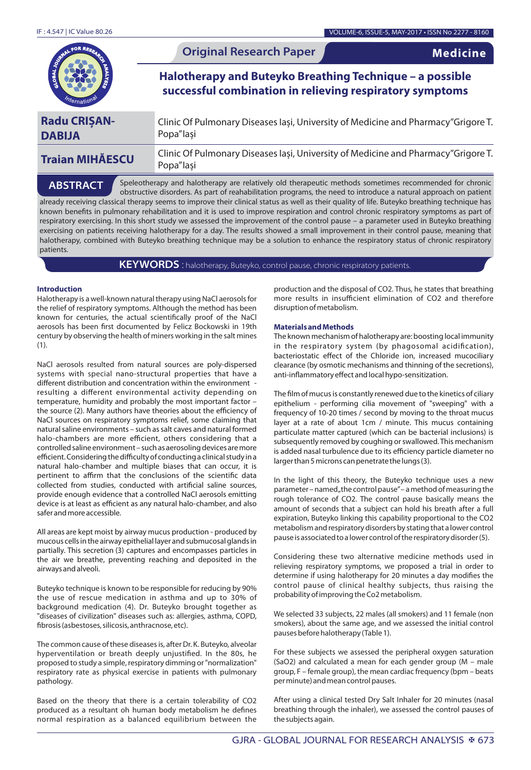

Popa"Iași

Speleotherapy and halotherapy are relatively old therapeutic methods sometimes recommended for chronic obstructive disorders. As part of reahabilitation programs, the need to introduce a natural approach on patient already receiving classical therapy seems to improve their clinical status as well as their quality of life. Buteyko breathing technique has known benefits in pulmonary rehabilitation and it is used to improve respiration and control chronic respiratory symptoms as part of respiratory exercising. In this short study we assessed the improvement of the control pause – a parameter used in Buteyko breathing exercising on patients receiving halotherapy for a day. The results showed a small improvement in their control pause, meaning that halotherapy, combined with Buteyko breathing technique may be a solution to enhance the respiratory status of chronic respiratory patients. **ABSTRACT**

**KEYWORDS** : halotherapy, Buteyko, control pause, chronic respiratory patients.

## **Introduction**

Halotherapy is a well-known natural therapy using NaCl aerosols for the relief of respiratory symptoms. Although the method has been known for centuries, the actual scientifically proof of the NaCl aerosols has been first documented by Felicz Bockowski in 19th century by observing the health of miners working in the salt mines (1).

NaCl aerosols resulted from natural sources are poly-dispersed systems with special nano-structural properties that have a different distribution and concentration within the environment resulting a different environmental activity depending on temperature, humidity and probably the most important factor – the source (2). Many authors have theories about the efficiency of NaCl sources on respiratory symptoms relief, some claiming that natural saline environments – such as salt caves and natural formed halo-chambers are more efficient, others considering that a controlled saline environment – such as aerosoling devices are more efficient. Considering the difficulty of conducting a clinical study in a natural halo-chamber and multiple biases that can occur, it is pertinent to affirm that the conclusions of the scientific data collected from studies, conducted with artificial saline sources, provide enough evidence that a controlled NaCl aerosols emitting device is at least as efficient as any natural halo-chamber, and also safer and more accessible.

All areas are kept moist by airway mucus production - produced by mucous cells in the airway epithelial layer and submucosal glands in partially. This secretion (3) captures and encompasses particles in the air we breathe, preventing reaching and deposited in the airways and alveoli.

Buteyko technique is known to be responsible for reducing by 90% the use of rescue medication in asthma and up to 30% of background medication (4). Dr. Buteyko brought together as "diseases of civilization" diseases such as: allergies, asthma, COPD, brosis (asbestoses, silicosis, anthracnose, etc).

The common cause of these diseases is, after Dr. K. Buteyko, alveolar hyperventilation or breath deeply unjustified. In the 80s, he proposed to study a simple, respiratory dimming or "normalization" respiratory rate as physical exercise in patients with pulmonary pathology.

Based on the theory that there is a certain tolerability of CO2 produced as a resultant oh human body metabolism he defines normal respiration as a balanced equilibrium between the production and the disposal of CO2. Thus, he states that breathing more results in insufficient elimination of CO2 and therefore disruption of metabolism.

# **Materials and Methods**

The known mechanism of halotherapy are: boosting local immunity in the respiratory system (by phagosomal acidification), bacteriostatic effect of the Chloride ion, increased mucociliary clearance (by osmotic mechanisms and thinning of the secretions), anti-inflammatory effect and local hypo-sensitization.

The film of mucus is constantly renewed due to the kinetics of ciliary epithelium - performing cilia movement of "sweeping" with a frequency of 10-20 times / second by moving to the throat mucus layer at a rate of about 1cm / minute. This mucus containing particulate matter captured (which can be bacterial inclusions) is subsequently removed by coughing or swallowed. This mechanism is added nasal turbulence due to its efficiency particle diameter no larger than 5 microns can penetrate the lungs (3).

In the light of this theory, the Buteyko technique uses a new parameter – named "the control pause" – a method of measuring the rough tolerance of CO2. The control pause basically means the amount of seconds that a subject can hold his breath after a full expiration, Buteyko linking this capability proportional to the CO2 metabolism and respiratory disorders by stating that a lower control pause is associated to a lower control of the respiratory disorder (5).

Considering these two alternative medicine methods used in relieving respiratory symptoms, we proposed a trial in order to determine if using halotherapy for 20 minutes a day modifies the control pause of clinical healthy subjects, thus raising the probability of improving the Co2 metabolism.

We selected 33 subjects, 22 males (all smokers) and 11 female (non smokers), about the same age, and we assessed the initial control pauses before halotherapy (Table 1).

For these subjects we assessed the peripheral oxygen saturation (SaO2) and calculated a mean for each gender group (M – male group, F – female group), the mean cardiac frequency (bpm – beats per minute) and mean control pauses.

After using a clinical tested Dry Salt Inhaler for 20 minutes (nasal breathing through the inhaler), we assessed the control pauses of the subjects again.